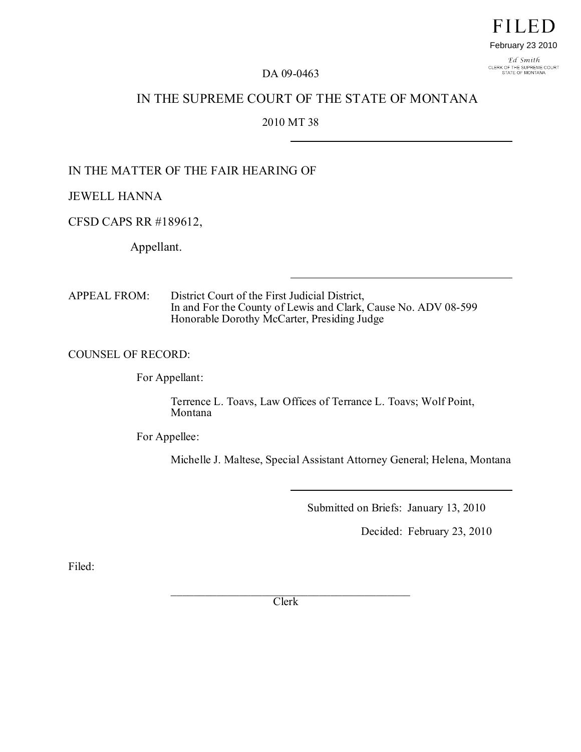# **FILED** February 23 2010

Ed Smith CLERK OF THE SUPREME COURT<br>STATE OF MONTANA

#### DA 09-0463

# IN THE SUPREME COURT OF THE STATE OF MONTANA

## 2010 MT 38

# IN THE MATTER OF THE FAIR HEARING OF

JEWELL HANNA

CFSD CAPS RR #189612,

Appellant.

APPEAL FROM: District Court of the First Judicial District, In and For the County of Lewis and Clark, Cause No. ADV 08-599 Honorable Dorothy McCarter, Presiding Judge

### COUNSEL OF RECORD:

For Appellant:

Terrence L. Toavs, Law Offices of Terrance L. Toavs; Wolf Point, Montana

For Appellee:

Michelle J. Maltese, Special Assistant Attorney General; Helena, Montana

Submitted on Briefs: January 13, 2010

Decided: February 23, 2010

Filed:

 $\mathcal{L}_\mathcal{L}$  , where  $\mathcal{L}_\mathcal{L}$  is the set of the set of the set of the set of the set of the set of the set of the set of the set of the set of the set of the set of the set of the set of the set of the set of the Clerk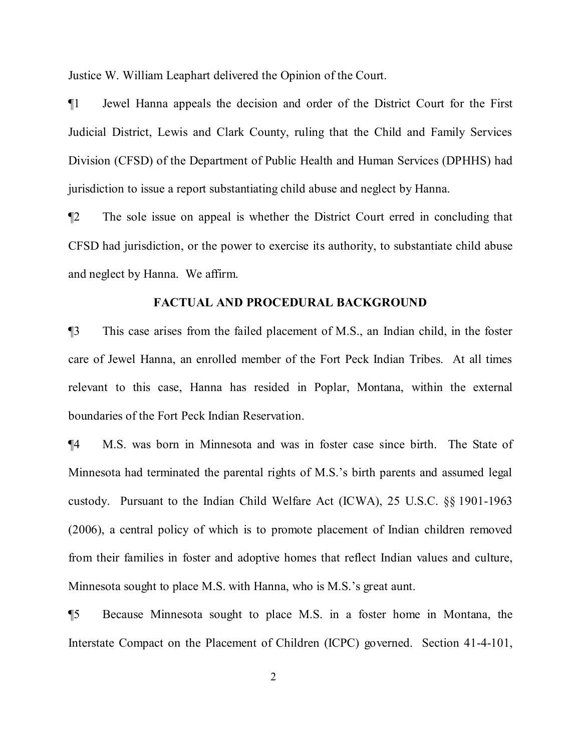Justice W. William Leaphart delivered the Opinion of the Court.

¶1 Jewel Hanna appeals the decision and order of the District Court for the First Judicial District, Lewis and Clark County, ruling that the Child and Family Services Division (CFSD) of the Department of Public Health and Human Services (DPHHS) had jurisdiction to issue a report substantiating child abuse and neglect by Hanna.

¶2 The sole issue on appeal is whether the District Court erred in concluding that CFSD had jurisdiction, or the power to exercise its authority, to substantiate child abuse and neglect by Hanna. We affirm.

#### **FACTUAL AND PROCEDURAL BACKGROUND**

¶3 This case arises from the failed placement of M.S., an Indian child, in the foster care of Jewel Hanna, an enrolled member of the Fort Peck Indian Tribes. At all times relevant to this case, Hanna has resided in Poplar, Montana, within the external boundaries of the Fort Peck Indian Reservation.

¶4 M.S. was born in Minnesota and was in foster case since birth. The State of Minnesota had terminated the parental rights of M.S.'s birth parents and assumed legal custody. Pursuant to the Indian Child Welfare Act (ICWA), 25 U.S.C. §§ 1901-1963 (2006), a central policy of which is to promote placement of Indian children removed from their families in foster and adoptive homes that reflect Indian values and culture, Minnesota sought to place M.S. with Hanna, who is M.S.'s great aunt.

¶5 Because Minnesota sought to place M.S. in a foster home in Montana, the Interstate Compact on the Placement of Children (ICPC) governed. Section 41-4-101,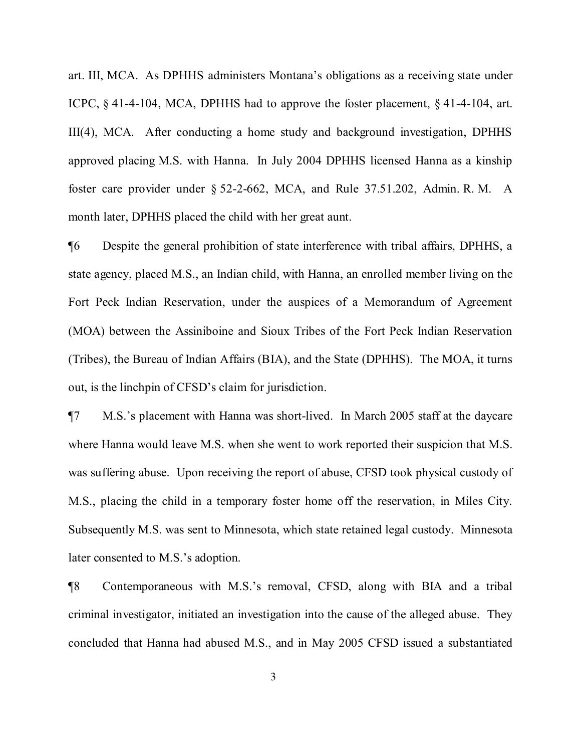art. III, MCA. As DPHHS administers Montana's obligations as a receiving state under ICPC, § 41-4-104, MCA, DPHHS had to approve the foster placement, § 41-4-104, art. III(4), MCA. After conducting a home study and background investigation, DPHHS approved placing M.S. with Hanna. In July 2004 DPHHS licensed Hanna as a kinship foster care provider under § 52-2-662, MCA, and Rule 37.51.202, Admin. R. M. A month later, DPHHS placed the child with her great aunt.

¶6 Despite the general prohibition of state interference with tribal affairs, DPHHS, a state agency, placed M.S., an Indian child, with Hanna, an enrolled member living on the Fort Peck Indian Reservation, under the auspices of a Memorandum of Agreement (MOA) between the Assiniboine and Sioux Tribes of the Fort Peck Indian Reservation (Tribes), the Bureau of Indian Affairs (BIA), and the State (DPHHS). The MOA, it turns out, is the linchpin of CFSD's claim for jurisdiction.

¶7 M.S.'s placement with Hanna was short-lived. In March 2005 staff at the daycare where Hanna would leave M.S. when she went to work reported their suspicion that M.S. was suffering abuse. Upon receiving the report of abuse, CFSD took physical custody of M.S., placing the child in a temporary foster home off the reservation, in Miles City. Subsequently M.S. was sent to Minnesota, which state retained legal custody. Minnesota later consented to M.S.'s adoption.

¶8 Contemporaneous with M.S.'s removal, CFSD, along with BIA and a tribal criminal investigator, initiated an investigation into the cause of the alleged abuse. They concluded that Hanna had abused M.S., and in May 2005 CFSD issued a substantiated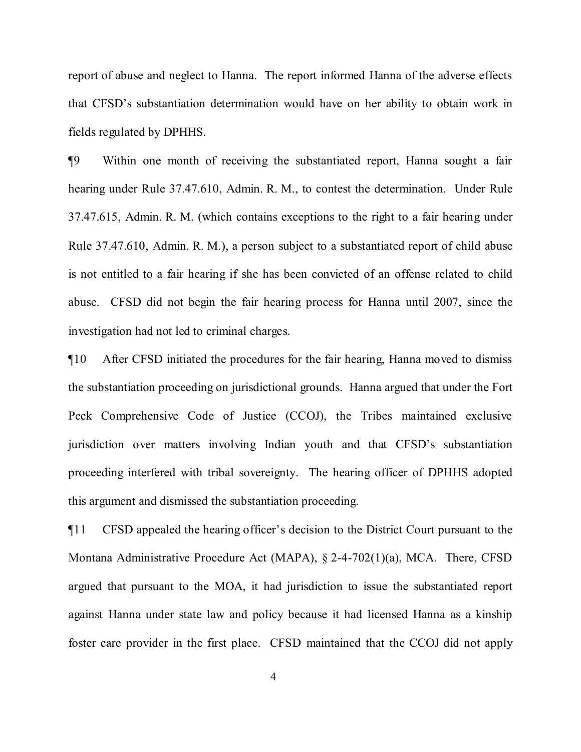report of abuse and neglect to Hanna. The report informed Hanna of the adverse effects that CFSD's substantiation determination would have on her ability to obtain work in fields regulated by DPHHS.

¶9 Within one month of receiving the substantiated report, Hanna sought a fair hearing under Rule 37.47.610, Admin. R. M., to contest the determination. Under Rule 37.47.615, Admin. R. M. (which contains exceptions to the right to a fair hearing under Rule 37.47.610, Admin. R. M.), a person subject to a substantiated report of child abuse is not entitled to a fair hearing if she has been convicted of an offense related to child abuse. CFSD did not begin the fair hearing process for Hanna until 2007, since the investigation had not led to criminal charges.

¶10 After CFSD initiated the procedures for the fair hearing, Hanna moved to dismiss the substantiation proceeding on jurisdictional grounds. Hanna argued that under the Fort Peck Comprehensive Code of Justice (CCOJ), the Tribes maintained exclusive jurisdiction over matters involving Indian youth and that CFSD's substantiation proceeding interfered with tribal sovereignty. The hearing officer of DPHHS adopted this argument and dismissed the substantiation proceeding.

¶11 CFSD appealed the hearing officer's decision to the District Court pursuant to the Montana Administrative Procedure Act (MAPA), § 2-4-702(1)(a), MCA. There, CFSD argued that pursuant to the MOA, it had jurisdiction to issue the substantiated report against Hanna under state law and policy because it had licensed Hanna as a kinship foster care provider in the first place. CFSD maintained that the CCOJ did not apply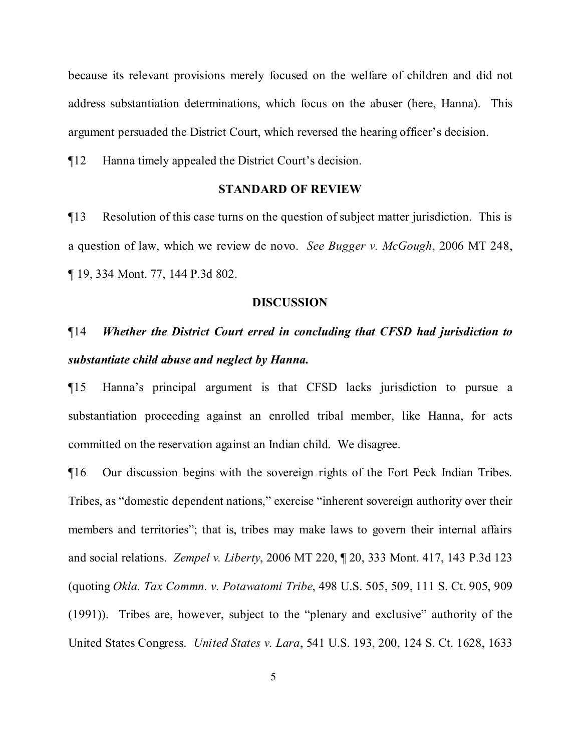because its relevant provisions merely focused on the welfare of children and did not address substantiation determinations, which focus on the abuser (here, Hanna). This argument persuaded the District Court, which reversed the hearing officer's decision.

¶12 Hanna timely appealed the District Court's decision.

#### **STANDARD OF REVIEW**

¶13 Resolution of this case turns on the question of subject matter jurisdiction. This is a question of law, which we review de novo. *See Bugger v. McGough*, 2006 MT 248, ¶ 19, 334 Mont. 77, 144 P.3d 802.

#### **DISCUSSION**

# ¶14 *Whether the District Court erred in concluding that CFSD had jurisdiction to substantiate child abuse and neglect by Hanna.*

¶15 Hanna's principal argument is that CFSD lacks jurisdiction to pursue a substantiation proceeding against an enrolled tribal member, like Hanna, for acts committed on the reservation against an Indian child. We disagree.

¶16 Our discussion begins with the sovereign rights of the Fort Peck Indian Tribes. Tribes, as "domestic dependent nations," exercise "inherent sovereign authority over their members and territories"; that is, tribes may make laws to govern their internal affairs and social relations. *Zempel v. Liberty*, 2006 MT 220, ¶ 20, 333 Mont. 417, 143 P.3d 123 (quoting *Okla. Tax Commn. v. Potawatomi Tribe*, 498 U.S. 505, 509, 111 S. Ct. 905, 909 (1991)). Tribes are, however, subject to the "plenary and exclusive" authority of the United States Congress. *United States v. Lara*, 541 U.S. 193, 200, 124 S. Ct. 1628, 1633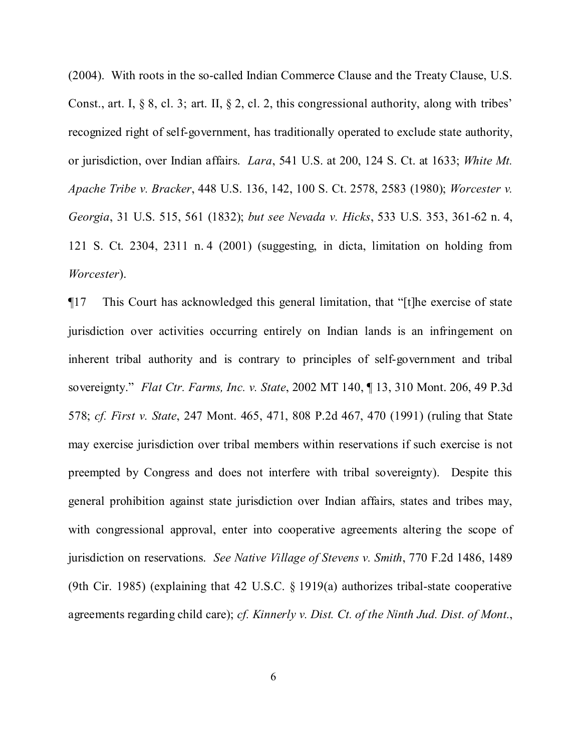(2004). With roots in the so-called Indian Commerce Clause and the Treaty Clause, U.S. Const., art. I, § 8, cl. 3; art. II, § 2, cl. 2, this congressional authority, along with tribes' recognized right of self-government, has traditionally operated to exclude state authority, or jurisdiction, over Indian affairs. *Lara*, 541 U.S. at 200, 124 S. Ct. at 1633; *White Mt. Apache Tribe v. Bracker*, 448 U.S. 136, 142, 100 S. Ct. 2578, 2583 (1980); *Worcester v. Georgia*, 31 U.S. 515, 561 (1832); *but see Nevada v. Hicks*, 533 U.S. 353, 361-62 n. 4, 121 S. Ct. 2304, 2311 n. 4 (2001) (suggesting, in dicta, limitation on holding from *Worcester*).

¶17 This Court has acknowledged this general limitation, that "[t]he exercise of state jurisdiction over activities occurring entirely on Indian lands is an infringement on inherent tribal authority and is contrary to principles of self-government and tribal sovereignty." *Flat Ctr. Farms, Inc. v. State*, 2002 MT 140, ¶ 13, 310 Mont. 206, 49 P.3d 578; *cf. First v. State*, 247 Mont. 465, 471, 808 P.2d 467, 470 (1991) (ruling that State may exercise jurisdiction over tribal members within reservations if such exercise is not preempted by Congress and does not interfere with tribal sovereignty). Despite this general prohibition against state jurisdiction over Indian affairs, states and tribes may, with congressional approval, enter into cooperative agreements altering the scope of jurisdiction on reservations. *See Native Village of Stevens v. Smith*, 770 F.2d 1486, 1489 (9th Cir. 1985) (explaining that 42 U.S.C. § 1919(a) authorizes tribal-state cooperative agreements regarding child care); *cf. Kinnerly v. Dist. Ct. of the Ninth Jud. Dist. of Mont.*,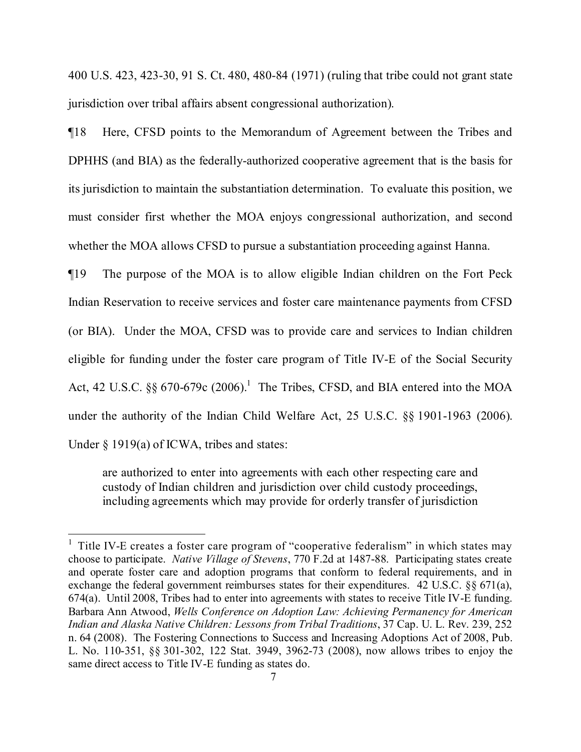400 U.S. 423, 423-30, 91 S. Ct. 480, 480-84 (1971) (ruling that tribe could not grant state jurisdiction over tribal affairs absent congressional authorization).

¶18 Here, CFSD points to the Memorandum of Agreement between the Tribes and DPHHS (and BIA) as the federally-authorized cooperative agreement that is the basis for its jurisdiction to maintain the substantiation determination. To evaluate this position, we must consider first whether the MOA enjoys congressional authorization, and second whether the MOA allows CFSD to pursue a substantiation proceeding against Hanna.

¶19 The purpose of the MOA is to allow eligible Indian children on the Fort Peck Indian Reservation to receive services and foster care maintenance payments from CFSD (or BIA). Under the MOA, CFSD was to provide care and services to Indian children eligible for funding under the foster care program of Title IV-E of the Social Security Act, 42 U.S.C.  $\S$ § 670-679c (2006).<sup>[1](#page-6-0)</sup> The Tribes, CFSD, and BIA entered into the MOA under the authority of the Indian Child Welfare Act, 25 U.S.C. §§ 1901-1963 (2006). Under  $\S$  1919(a) of ICWA, tribes and states:

are authorized to enter into agreements with each other respecting care and custody of Indian children and jurisdiction over child custody proceedings, including agreements which may provide for orderly transfer of jurisdiction

<span id="page-6-0"></span><sup>&</sup>lt;sup>1</sup> Title IV-E creates a foster care program of "cooperative federalism" in which states may choose to participate. *Native Village of Stevens*, 770 F.2d at 1487-88. Participating states create and operate foster care and adoption programs that conform to federal requirements, and in exchange the federal government reimburses states for their expenditures. 42 U.S.C. §§ 671(a), 674(a). Until 2008, Tribes had to enter into agreements with states to receive Title IV-E funding. Barbara Ann Atwood, *Wells Conference on Adoption Law: Achieving Permanency for American Indian and Alaska Native Children: Lessons from Tribal Traditions*, 37 Cap. U. L. Rev. 239, 252 n. 64 (2008). The Fostering Connections to Success and Increasing Adoptions Act of 2008, Pub. L. No. 110-351, §§ 301-302, 122 Stat. 3949, 3962-73 (2008), now allows tribes to enjoy the same direct access to Title IV-E funding as states do.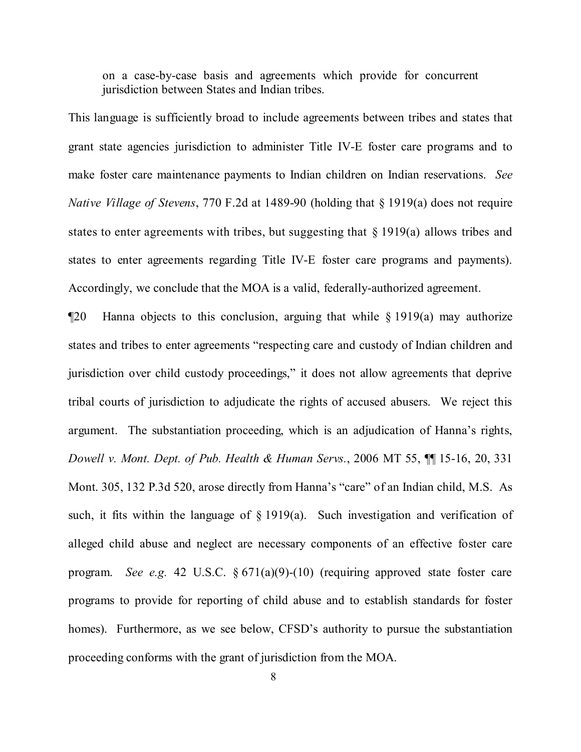on a case-by-case basis and agreements which provide for concurrent jurisdiction between States and Indian tribes.

This language is sufficiently broad to include agreements between tribes and states that grant state agencies jurisdiction to administer Title IV-E foster care programs and to make foster care maintenance payments to Indian children on Indian reservations. *See Native Village of Stevens*, 770 F.2d at 1489-90 (holding that § 1919(a) does not require states to enter agreements with tribes, but suggesting that  $\S$  1919(a) allows tribes and states to enter agreements regarding Title IV-E foster care programs and payments). Accordingly, we conclude that the MOA is a valid, federally-authorized agreement.

¶20 Hanna objects to this conclusion, arguing that while § 1919(a) may authorize states and tribes to enter agreements "respecting care and custody of Indian children and jurisdiction over child custody proceedings," it does not allow agreements that deprive tribal courts of jurisdiction to adjudicate the rights of accused abusers. We reject this argument. The substantiation proceeding, which is an adjudication of Hanna's rights, *Dowell v. Mont. Dept. of Pub. Health & Human Servs.*, 2006 MT 55, ¶¶ 15-16, 20, 331 Mont. 305, 132 P.3d 520, arose directly from Hanna's "care" of an Indian child, M.S. As such, it fits within the language of  $\S 1919(a)$ . Such investigation and verification of alleged child abuse and neglect are necessary components of an effective foster care program. *See e.g.* 42 U.S.C. § 671(a)(9)-(10) (requiring approved state foster care programs to provide for reporting of child abuse and to establish standards for foster homes). Furthermore, as we see below, CFSD's authority to pursue the substantiation proceeding conforms with the grant of jurisdiction from the MOA.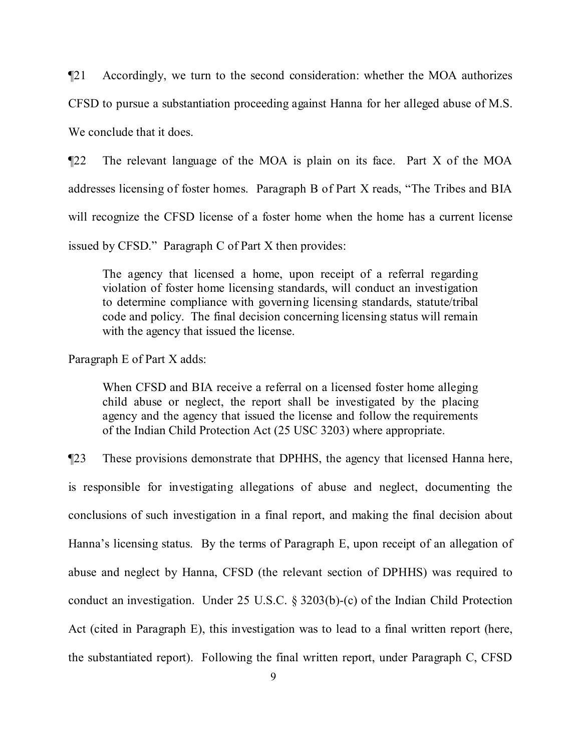¶21 Accordingly, we turn to the second consideration: whether the MOA authorizes

CFSD to pursue a substantiation proceeding against Hanna for her alleged abuse of M.S.

We conclude that it does.

¶22 The relevant language of the MOA is plain on its face. Part X of the MOA addresses licensing of foster homes. Paragraph B of Part X reads, "The Tribes and BIA will recognize the CFSD license of a foster home when the home has a current license issued by CFSD." Paragraph C of Part X then provides:

The agency that licensed a home, upon receipt of a referral regarding violation of foster home licensing standards, will conduct an investigation to determine compliance with governing licensing standards, statute/tribal code and policy. The final decision concerning licensing status will remain with the agency that issued the license.

Paragraph E of Part X adds:

When CFSD and BIA receive a referral on a licensed foster home alleging child abuse or neglect, the report shall be investigated by the placing agency and the agency that issued the license and follow the requirements of the Indian Child Protection Act (25 USC 3203) where appropriate.

¶23 These provisions demonstrate that DPHHS, the agency that licensed Hanna here, is responsible for investigating allegations of abuse and neglect, documenting the conclusions of such investigation in a final report, and making the final decision about Hanna's licensing status. By the terms of Paragraph E, upon receipt of an allegation of abuse and neglect by Hanna, CFSD (the relevant section of DPHHS) was required to conduct an investigation. Under 25 U.S.C. § 3203(b)-(c) of the Indian Child Protection Act (cited in Paragraph E), this investigation was to lead to a final written report (here, the substantiated report). Following the final written report, under Paragraph C, CFSD